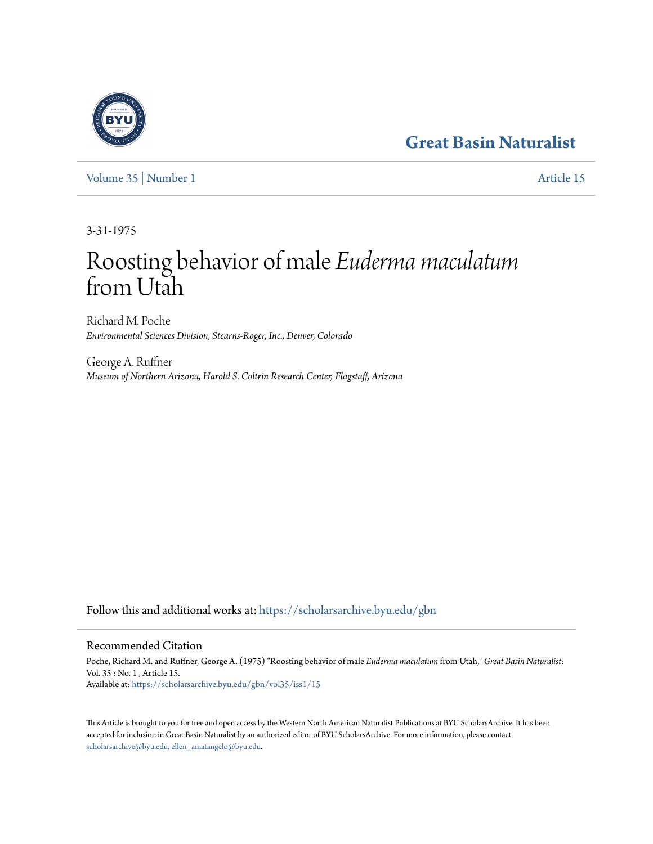## **[Great Basin Naturalist](https://scholarsarchive.byu.edu/gbn?utm_source=scholarsarchive.byu.edu%2Fgbn%2Fvol35%2Fiss1%2F15&utm_medium=PDF&utm_campaign=PDFCoverPages)**



[Volume 35](https://scholarsarchive.byu.edu/gbn/vol35?utm_source=scholarsarchive.byu.edu%2Fgbn%2Fvol35%2Fiss1%2F15&utm_medium=PDF&utm_campaign=PDFCoverPages) | [Number 1](https://scholarsarchive.byu.edu/gbn/vol35/iss1?utm_source=scholarsarchive.byu.edu%2Fgbn%2Fvol35%2Fiss1%2F15&utm_medium=PDF&utm_campaign=PDFCoverPages) [Article 15](https://scholarsarchive.byu.edu/gbn/vol35/iss1/15?utm_source=scholarsarchive.byu.edu%2Fgbn%2Fvol35%2Fiss1%2F15&utm_medium=PDF&utm_campaign=PDFCoverPages)

3-31-1975

# Roosting behavior of male *Euderma maculatum* from Utah

Richard M. Poche *Environmental Sciences Division, Stearns-Roger, Inc., Denver, Colorado*

George A. Ruffner *Museum of Northern Arizona, Harold S. Coltrin Research Center, Flagstaff, Arizona*

Follow this and additional works at: [https://scholarsarchive.byu.edu/gbn](https://scholarsarchive.byu.edu/gbn?utm_source=scholarsarchive.byu.edu%2Fgbn%2Fvol35%2Fiss1%2F15&utm_medium=PDF&utm_campaign=PDFCoverPages)

### Recommended Citation

Poche, Richard M. and Ruffner, George A. (1975) "Roosting behavior of male *Euderma maculatum* from Utah," *Great Basin Naturalist*: Vol. 35 : No. 1 , Article 15. Available at: [https://scholarsarchive.byu.edu/gbn/vol35/iss1/15](https://scholarsarchive.byu.edu/gbn/vol35/iss1/15?utm_source=scholarsarchive.byu.edu%2Fgbn%2Fvol35%2Fiss1%2F15&utm_medium=PDF&utm_campaign=PDFCoverPages)

This Article is brought to you for free and open access by the Western North American Naturalist Publications at BYU ScholarsArchive. It has been accepted for inclusion in Great Basin Naturalist by an authorized editor of BYU ScholarsArchive. For more information, please contact [scholarsarchive@byu.edu, ellen\\_amatangelo@byu.edu.](mailto:scholarsarchive@byu.edu,%20ellen_amatangelo@byu.edu)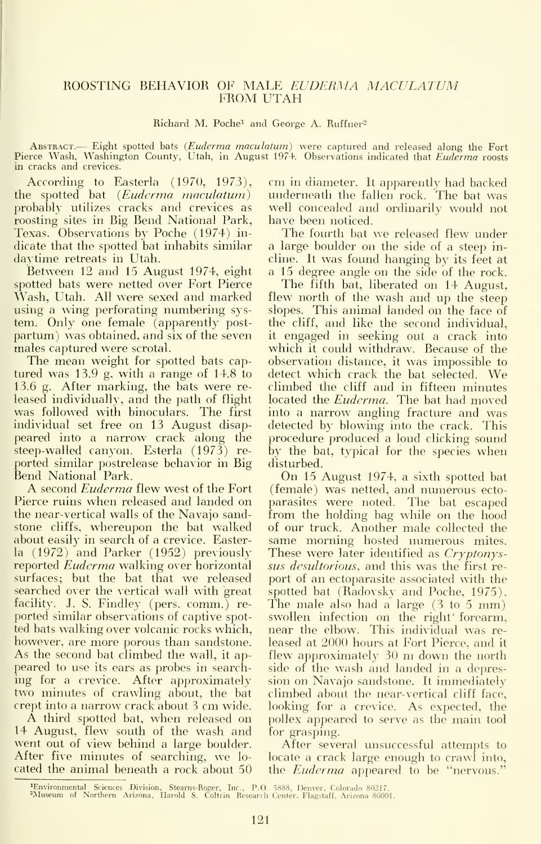#### ROOSTING BEHAVIOR OF MALE EUDERMA MACULATUM FROM UTAH

#### Richard M. Poche<sup>1</sup> and George A. Ruffner<sup>2</sup>

ABSTRACT.— Eight spotted bats (Euderma maculatum) were captured and released along the Fort<br>Pierce Wash, Washington County, Utah, in August 1974. Observations indicated that Euderma roosts in cracks and crevices.

According to Easterla (1970, 1973), the spotted bat (Euderma maculatum) probably utilizes cracks and crevices as roosting sites in Big Bend National Park, Texas. Observations by Poche (1974) in dicate that the spotted bat inhabits similar daytime retreats in Utah.

Between 12 and 15 August 1974, eight spotted bats were netted over Fort Pierce Wash, Utah. All were sexed and marked using a wing perforating numbering system. Only one female (apparently post partum) was obtained, and six of the seven males captured were scrotal.

The mean weight for spotted bats cap tured was 13.9 g, with a range of 14.8 to 13.6 g. After marking, the bats were re leased individually, and the path of flight was followed with binoculars. The first individual set free on 13 August disappeared into a narrow crack along the steep-walled canyon. Esterla (1973) re ported similar postrelease behavior in Big

A second *Euderma* flew west of the Fort Pierce ruins when released and landed on the near-vertical walls of the Navajo sandstone cliffs, whereupon the bat walked about easily in search of a crevice. Easterla (1972) and Parker (1952) previously reported Euderma walking over horizontal surfaces; but the bat that we released searched over the vertical wall with great facility. J. S. Findley (pers. comm.) reported similar observations of captive spot ted bats walking over volcanic rocks which, however, are more porous than sandstone. As the second bat climbed the wall, it ap peared to use its ears as probes in search ing for a crevice. After approximately two minutes of crawling about, the bat

crept into <sup>a</sup> narrow crack about <sup>3</sup> cm wide. <sup>A</sup> third spotted bat, when released on 14 August, flew south of the wash and went out of view behind a large boulder. After five minutes of searching, we lo cated the animal beneath a rock about 50 cm in diameter. It apparently had backed underneath the fallen rock. The bat was well concealed and ordinarily would not have been noticed.

The fourth bat we released flew under a large boulder on the side of a steep incline. It was found hanging by its feet at a 15 degree angle on the side of the rock.

The fifth bat, liberated on 14 August, flew north of the wash and up the steep slopes. This animal landed on the face of the cliff, and like the second individual, it engaged in seeking out a crack into which it could withdraw. Because of the observation distance, it was impossible to detect which crack the bat selected. We climbed the cliff and in fifteen minutes located the *Euderma*. The bat had moved into a narrow angling fracture and was detected by blowing into the crack. This procedure produced a loud clicking sound by the bat, typical for the species when disturbed.

On <sup>15</sup> August 1974, <sup>a</sup> sixth spotted bat (female) was netted, and numerous ecto parasites were noted. The bat escaped from the holding bag while on the hood of our truck. Another male collected the same morning hosted numerous mites. These were later identified as Cryptonyssus *desultorious*, and this was the first report of an ectoparasite associated with the spotted bat (Radovsky and Poche, 1975). The male also had <sup>a</sup> large (3 to <sup>5</sup> mm) swollen infection on the right' forearm, near the elbow. This individual was re leased at 2000 hours at Fort Pierce, and it flew approximately <sup>30</sup> m down the north side of the wash and landed in a depression on Navajo sandstone. It immediately climbed about the near-vertical cliff face, looking for a crevice. As expected, the pollex appeared to serve as the main tool for grasping.

After several unsuccessful attempts to locate a crack large enough to crawl into, the *Euderma* appeared to be "nervous.

<sup>4</sup>Environmental Sciences Division, Stearns-Roger, Inc., P.O. 5888, Denver, Colorado 80217.<br><sup>2</sup>Museum of Northern Arizona, Harold S. Coltrin Research Center. Flagstaff, Arizona-86001.